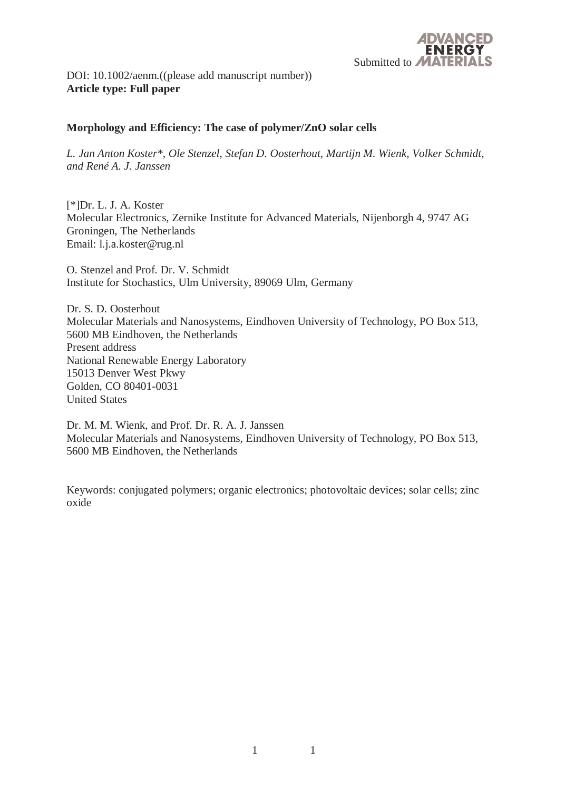

DOI: 10.1002/aenm.((please add manuscript number)) **Article type: Full paper**

## **Morphology and Efficiency: The case of polymer/ZnO solar cells**

*L. Jan Anton Koster\*, Ole Stenzel, Stefan D. Oosterhout, Martijn M. Wienk, Volker Schmidt, and René A. J. Janssen* 

[\*]Dr. L. J. A. Koster Molecular Electronics, Zernike Institute for Advanced Materials, Nijenborgh 4, 9747 AG Groningen, The Netherlands Email: l.j.a.koster@rug.nl

O. Stenzel and Prof. Dr. V. Schmidt Institute for Stochastics, Ulm University, 89069 Ulm, Germany

Dr. S. D. Oosterhout Molecular Materials and Nanosystems, Eindhoven University of Technology, PO Box 513, 5600 MB Eindhoven, the Netherlands Present address National Renewable Energy Laboratory 15013 Denver West Pkwy Golden, CO 80401-0031 United States

Dr. M. M. Wienk, and Prof. Dr. R. A. J. Janssen Molecular Materials and Nanosystems, Eindhoven University of Technology, PO Box 513, 5600 MB Eindhoven, the Netherlands

Keywords: conjugated polymers; organic electronics; photovoltaic devices; solar cells; zinc oxide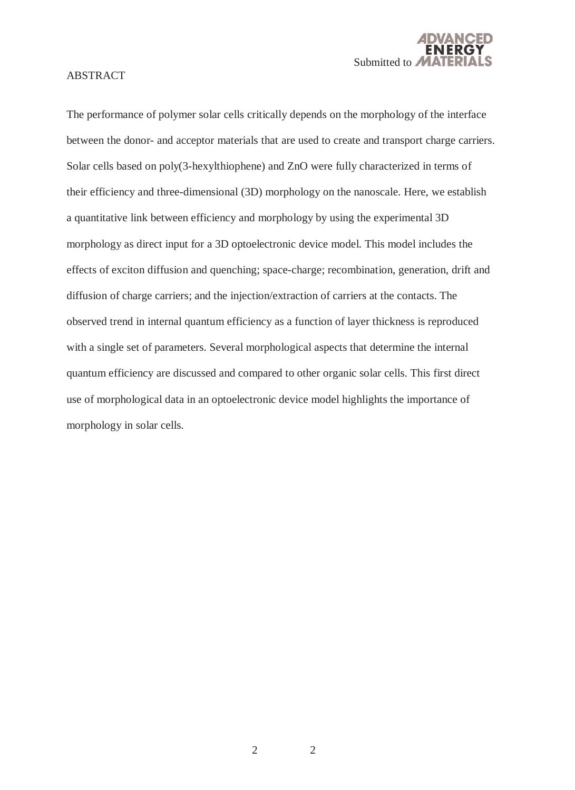

#### ABSTRACT

The performance of polymer solar cells critically depends on the morphology of the interface between the donor- and acceptor materials that are used to create and transport charge carriers. Solar cells based on poly(3-hexylthiophene) and ZnO were fully characterized in terms of their efficiency and three-dimensional (3D) morphology on the nanoscale. Here, we establish a quantitative link between efficiency and morphology by using the experimental 3D morphology as direct input for a 3D optoelectronic device model. This model includes the effects of exciton diffusion and quenching; space-charge; recombination, generation, drift and diffusion of charge carriers; and the injection/extraction of carriers at the contacts. The observed trend in internal quantum efficiency as a function of layer thickness is reproduced with a single set of parameters. Several morphological aspects that determine the internal quantum efficiency are discussed and compared to other organic solar cells. This first direct use of morphological data in an optoelectronic device model highlights the importance of morphology in solar cells.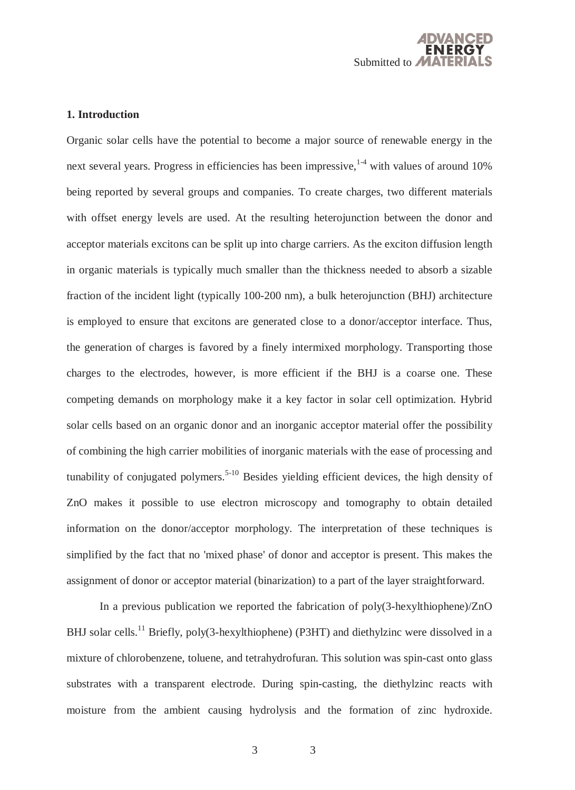

## **1. Introduction**

Organic solar cells have the potential to become a major source of renewable energy in the next several years. Progress in efficiencies has been impressive,  $1/4$  with values of around 10% being reported by several groups and companies. To create charges, two different materials with offset energy levels are used. At the resulting heterojunction between the donor and acceptor materials excitons can be split up into charge carriers. As the exciton diffusion length in organic materials is typically much smaller than the thickness needed to absorb a sizable fraction of the incident light (typically 100-200 nm), a bulk heterojunction (BHJ) architecture is employed to ensure that excitons are generated close to a donor/acceptor interface. Thus, the generation of charges is favored by a finely intermixed morphology. Transporting those charges to the electrodes, however, is more efficient if the BHJ is a coarse one. These competing demands on morphology make it a key factor in solar cell optimization. Hybrid solar cells based on an organic donor and an inorganic acceptor material offer the possibility of combining the high carrier mobilities of inorganic materials with the ease of processing and tunability of conjugated polymers.<sup>5-10</sup> Besides yielding efficient devices, the high density of ZnO makes it possible to use electron microscopy and tomography to obtain detailed information on the donor/acceptor morphology. The interpretation of these techniques is simplified by the fact that no 'mixed phase' of donor and acceptor is present. This makes the assignment of donor or acceptor material (binarization) to a part of the layer straightforward.

 In a previous publication we reported the fabrication of poly(3-hexylthiophene)/ZnO BHJ solar cells.<sup>11</sup> Briefly, poly(3-hexylthiophene) (P3HT) and diethylzinc were dissolved in a mixture of chlorobenzene, toluene, and tetrahydrofuran. This solution was spin-cast onto glass substrates with a transparent electrode. During spin-casting, the diethylzinc reacts with moisture from the ambient causing hydrolysis and the formation of zinc hydroxide.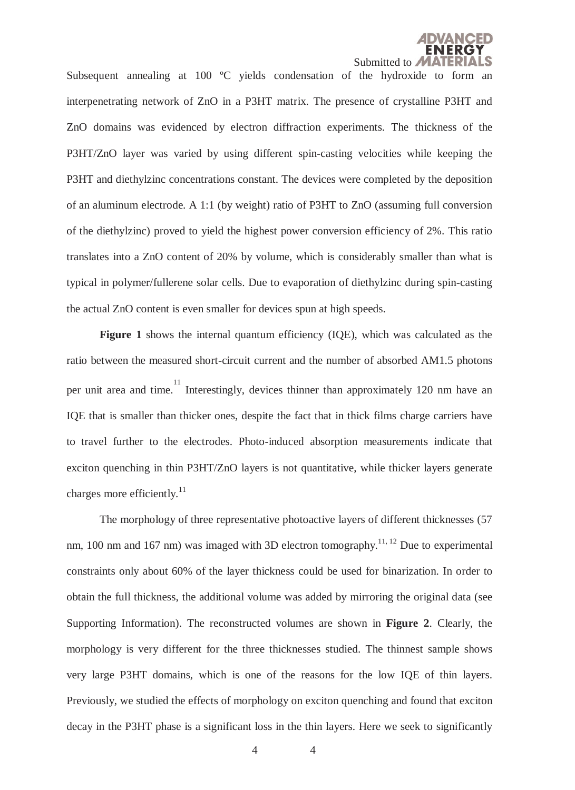

Subsequent annealing at 100 °C yields condensation of the hydroxide to form an interpenetrating network of ZnO in a P3HT matrix. The presence of crystalline P3HT and ZnO domains was evidenced by electron diffraction experiments. The thickness of the P3HT/ZnO layer was varied by using different spin-casting velocities while keeping the P3HT and diethylzinc concentrations constant. The devices were completed by the deposition of an aluminum electrode. A 1:1 (by weight) ratio of P3HT to ZnO (assuming full conversion of the diethylzinc) proved to yield the highest power conversion efficiency of 2%. This ratio translates into a ZnO content of 20% by volume, which is considerably smaller than what is typical in polymer/fullerene solar cells. Due to evaporation of diethylzinc during spin-casting the actual ZnO content is even smaller for devices spun at high speeds.

**Figure 1** shows the internal quantum efficiency (IQE), which was calculated as the ratio between the measured short-circuit current and the number of absorbed AM1.5 photons per unit area and time. Interestingly, devices thinner than approximately 120 nm have an IQE that is smaller than thicker ones, despite the fact that in thick films charge carriers have to travel further to the electrodes. Photo-induced absorption measurements indicate that exciton quenching in thin P3HT/ZnO layers is not quantitative, while thicker layers generate charges more efficiently. $11$ 

 The morphology of three representative photoactive layers of different thicknesses (57 nm, 100 nm and 167 nm) was imaged with 3D electron tomography.<sup>11, 12</sup> Due to experimental constraints only about 60% of the layer thickness could be used for binarization. In order to obtain the full thickness, the additional volume was added by mirroring the original data (see Supporting Information). The reconstructed volumes are shown in **Figure 2**. Clearly, the morphology is very different for the three thicknesses studied. The thinnest sample shows very large P3HT domains, which is one of the reasons for the low IQE of thin layers. Previously, we studied the effects of morphology on exciton quenching and found that exciton decay in the P3HT phase is a significant loss in the thin layers. Here we seek to significantly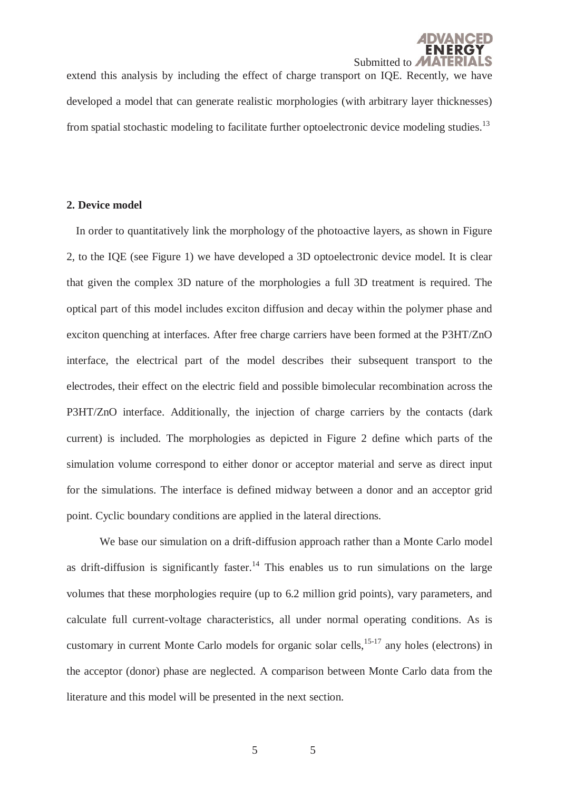

extend this analysis by including the effect of charge transport on IQE. Recently, we have developed a model that can generate realistic morphologies (with arbitrary layer thicknesses) from spatial stochastic modeling to facilitate further optoelectronic device modeling studies.<sup>13</sup>

#### **2. Device model**

In order to quantitatively link the morphology of the photoactive layers, as shown in Figure 2, to the IQE (see Figure 1) we have developed a 3D optoelectronic device model. It is clear that given the complex 3D nature of the morphologies a full 3D treatment is required. The optical part of this model includes exciton diffusion and decay within the polymer phase and exciton quenching at interfaces. After free charge carriers have been formed at the P3HT/ZnO interface, the electrical part of the model describes their subsequent transport to the electrodes, their effect on the electric field and possible bimolecular recombination across the P3HT/ZnO interface. Additionally, the injection of charge carriers by the contacts (dark current) is included. The morphologies as depicted in Figure 2 define which parts of the simulation volume correspond to either donor or acceptor material and serve as direct input for the simulations. The interface is defined midway between a donor and an acceptor grid point. Cyclic boundary conditions are applied in the lateral directions.

 We base our simulation on a drift-diffusion approach rather than a Monte Carlo model as drift-diffusion is significantly faster.<sup>14</sup> This enables us to run simulations on the large volumes that these morphologies require (up to 6.2 million grid points), vary parameters, and calculate full current-voltage characteristics, all under normal operating conditions. As is customary in current Monte Carlo models for organic solar cells,  $15-17$  any holes (electrons) in the acceptor (donor) phase are neglected. A comparison between Monte Carlo data from the literature and this model will be presented in the next section.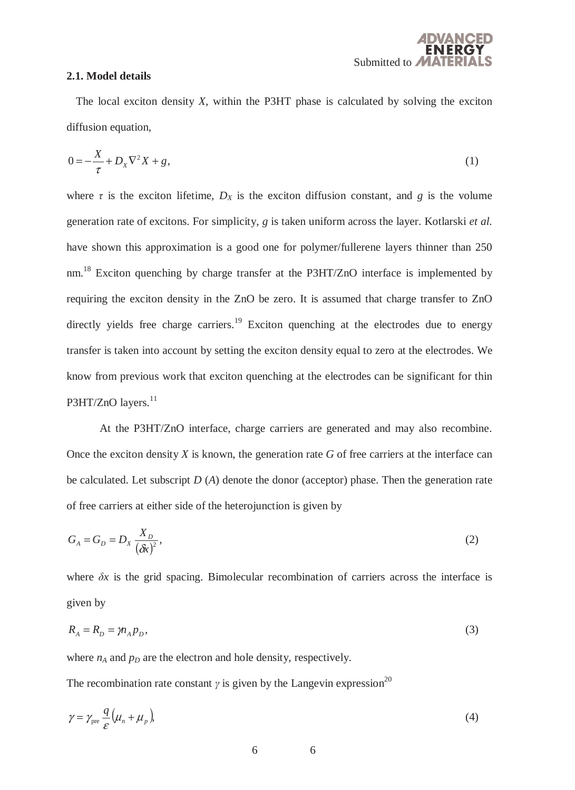

#### **2.1. Model details**

The local exciton density *X*, within the P3HT phase is calculated by solving the exciton diffusion equation,

$$
0 = -\frac{X}{\tau} + D_X \nabla^2 X + g,\tag{1}
$$

where  $\tau$  is the exciton lifetime,  $D_X$  is the exciton diffusion constant, and *g* is the volume generation rate of excitons. For simplicity, *g* is taken uniform across the layer. Kotlarski *et al.* have shown this approximation is a good one for polymer/fullerene layers thinner than 250 nm.18 Exciton quenching by charge transfer at the P3HT/ZnO interface is implemented by requiring the exciton density in the ZnO be zero. It is assumed that charge transfer to ZnO directly yields free charge carriers.<sup>19</sup> Exciton quenching at the electrodes due to energy transfer is taken into account by setting the exciton density equal to zero at the electrodes. We know from previous work that exciton quenching at the electrodes can be significant for thin P3HT/ZnO layers.<sup>11</sup>

 At the P3HT/ZnO interface, charge carriers are generated and may also recombine. Once the exciton density *X* is known, the generation rate *G* of free carriers at the interface can be calculated. Let subscript *D* (*A*) denote the donor (acceptor) phase. Then the generation rate of free carriers at either side of the heterojunction is given by

$$
G_A = G_D = D_X \frac{X_D}{(\delta x)^2},\tag{2}
$$

where  $\delta x$  is the grid spacing. Bimolecular recombination of carriers across the interface is given by

$$
R_A = R_D = m_A p_D,\tag{3}
$$

where  $n_A$  and  $p_D$  are the electron and hole density, respectively.

The recombination rate constant *γ* is given by the Langevin expression<sup>20</sup>

$$
\gamma = \gamma_{\text{pre}} \frac{q}{\varepsilon} \left( \mu_n + \mu_p \right),\tag{4}
$$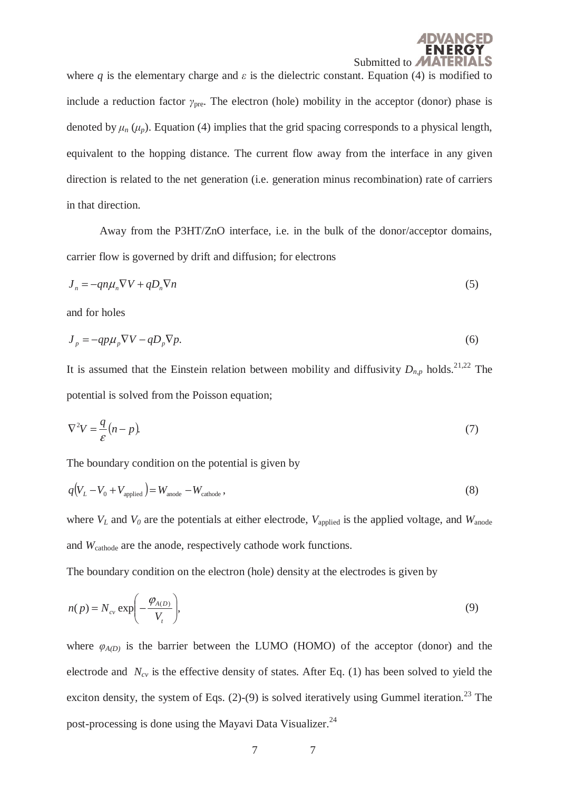

where *q* is the elementary charge and  $\varepsilon$  is the dielectric constant. Equation (4) is modified to include a reduction factor *γ*pre. The electron (hole) mobility in the acceptor (donor) phase is denoted by  $\mu_n$  ( $\mu_p$ ). Equation (4) implies that the grid spacing corresponds to a physical length, equivalent to the hopping distance. The current flow away from the interface in any given direction is related to the net generation (i.e. generation minus recombination) rate of carriers in that direction.

 Away from the P3HT/ZnO interface, i.e. in the bulk of the donor/acceptor domains, carrier flow is governed by drift and diffusion; for electrons

$$
J_n = -qn\mu_n \nabla V + qD_n \nabla n \tag{5}
$$

and for holes

$$
J_p = -qp\mu_p \nabla V - qD_p \nabla p. \tag{6}
$$

It is assumed that the Einstein relation between mobility and diffusivity  $D_{n,p}$  holds.<sup>21,22</sup> The potential is solved from the Poisson equation;

$$
\nabla^2 V = \frac{q}{\varepsilon} (n - p). \tag{7}
$$

The boundary condition on the potential is given by

$$
q(V_L - V_0 + V_{\text{applied}}) = W_{\text{anode}} - W_{\text{cathode}}\,,\tag{8}
$$

where  $V_L$  and  $V_0$  are the potentials at either electrode,  $V_{\text{applied}}$  is the applied voltage, and  $W_{\text{anode}}$ and *W*cathode are the anode, respectively cathode work functions.

The boundary condition on the electron (hole) density at the electrodes is given by

$$
n(p) = N_{cv} \exp\left(-\frac{\varphi_{A(D)}}{V_t}\right),\tag{9}
$$

where  $\varphi_{A(D)}$  is the barrier between the LUMO (HOMO) of the acceptor (donor) and the electrode and  $N_{cy}$  is the effective density of states. After Eq. (1) has been solved to yield the exciton density, the system of Eqs.  $(2)-(9)$  is solved iteratively using Gummel iteration.<sup>23</sup> The post-processing is done using the Mayavi Data Visualizer.<sup>24</sup>

$$
7 \hspace{1.5cm} 7
$$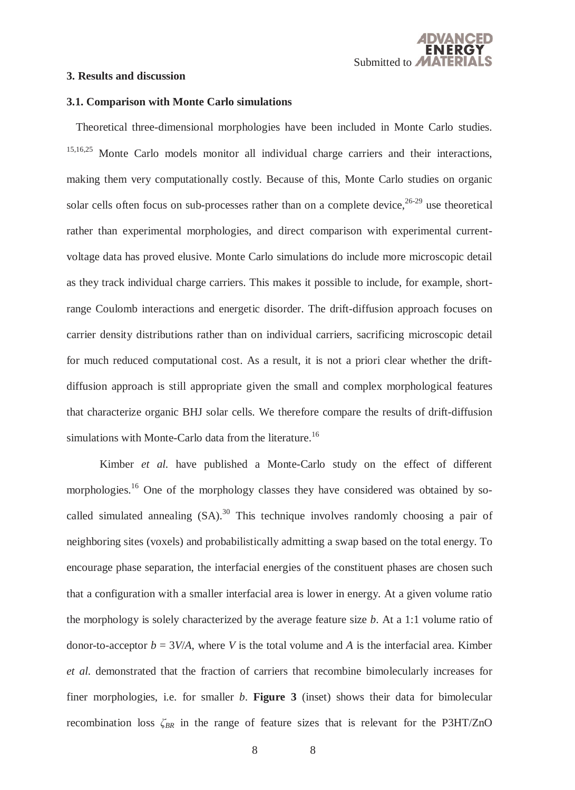

#### **3. Results and discussion**

# **3.1. Comparison with Monte Carlo simulations**

Theoretical three-dimensional morphologies have been included in Monte Carlo studies. 15,16,25 Monte Carlo models monitor all individual charge carriers and their interactions, making them very computationally costly. Because of this, Monte Carlo studies on organic solar cells often focus on sub-processes rather than on a complete device,  $26-29$  use theoretical rather than experimental morphologies, and direct comparison with experimental currentvoltage data has proved elusive. Monte Carlo simulations do include more microscopic detail as they track individual charge carriers. This makes it possible to include, for example, shortrange Coulomb interactions and energetic disorder. The drift-diffusion approach focuses on carrier density distributions rather than on individual carriers, sacrificing microscopic detail for much reduced computational cost. As a result, it is not a priori clear whether the driftdiffusion approach is still appropriate given the small and complex morphological features that characterize organic BHJ solar cells. We therefore compare the results of drift-diffusion simulations with Monte-Carlo data from the literature.<sup>16</sup>

 Kimber *et al.* have published a Monte-Carlo study on the effect of different morphologies.<sup>16</sup> One of the morphology classes they have considered was obtained by socalled simulated annealing  $(SA)$ <sup>30</sup>. This technique involves randomly choosing a pair of neighboring sites (voxels) and probabilistically admitting a swap based on the total energy. To encourage phase separation, the interfacial energies of the constituent phases are chosen such that a configuration with a smaller interfacial area is lower in energy. At a given volume ratio the morphology is solely characterized by the average feature size *b*. At a 1:1 volume ratio of donor-to-acceptor  $b = 3V/A$ , where *V* is the total volume and *A* is the interfacial area. Kimber *et al.* demonstrated that the fraction of carriers that recombine bimolecularly increases for finer morphologies, i.e. for smaller *b*. **Figure 3** (inset) shows their data for bimolecular recombination loss *ζBR* in the range of feature sizes that is relevant for the P3HT/ZnO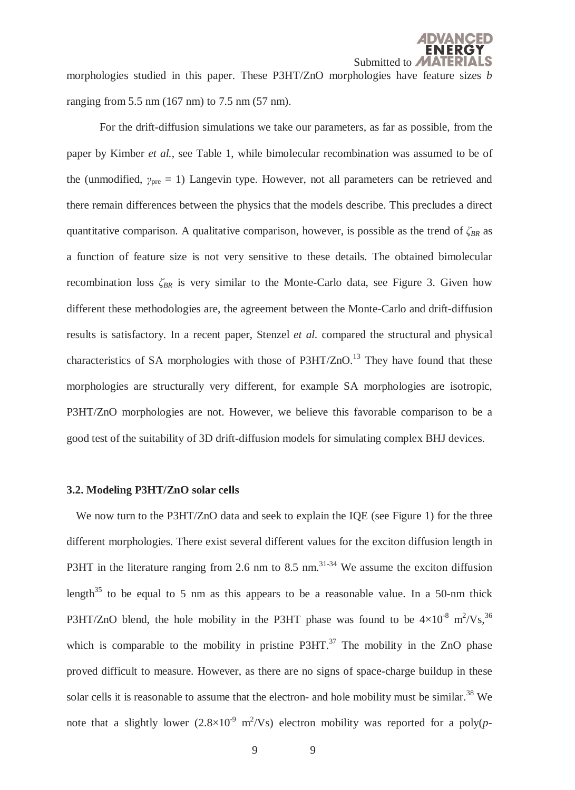morphologies studied in this paper. These P3HT/ZnO morphologies have feature sizes *b* ranging from 5.5 nm (167 nm) to 7.5 nm (57 nm).

 For the drift-diffusion simulations we take our parameters, as far as possible, from the paper by Kimber *et al.*, see Table 1, while bimolecular recombination was assumed to be of the (unmodified, *γ*<sub>pre</sub> = 1) Langevin type. However, not all parameters can be retrieved and there remain differences between the physics that the models describe. This precludes a direct quantitative comparison. A qualitative comparison, however, is possible as the trend of  $\zeta_{BR}$  as a function of feature size is not very sensitive to these details. The obtained bimolecular recombination loss *ζBR* is very similar to the Monte-Carlo data, see Figure 3. Given how different these methodologies are, the agreement between the Monte-Carlo and drift-diffusion results is satisfactory. In a recent paper, Stenzel *et al.* compared the structural and physical characteristics of SA morphologies with those of  $P3HT/ZnO<sup>13</sup>$ . They have found that these morphologies are structurally very different, for example SA morphologies are isotropic, P3HT/ZnO morphologies are not. However, we believe this favorable comparison to be a good test of the suitability of 3D drift-diffusion models for simulating complex BHJ devices.

#### **3.2. Modeling P3HT/ZnO solar cells**

We now turn to the P3HT/ZnO data and seek to explain the IQE (see Figure 1) for the three different morphologies. There exist several different values for the exciton diffusion length in P3HT in the literature ranging from 2.6 nm to 8.5 nm. $^{31\text{-}34}$  We assume the exciton diffusion length<sup>35</sup> to be equal to 5 nm as this appears to be a reasonable value. In a 50-nm thick P3HT/ZnO blend, the hole mobility in the P3HT phase was found to be  $4\times10^{-8}$  m<sup>2</sup>/Vs,<sup>36</sup> which is comparable to the mobility in pristine  $P3HT$ <sup>37</sup>. The mobility in the ZnO phase proved difficult to measure. However, as there are no signs of space-charge buildup in these solar cells it is reasonable to assume that the electron- and hole mobility must be similar.<sup>38</sup> We note that a slightly lower  $(2.8\times10^{-9} \text{ m}^2/\text{Vs})$  electron mobility was reported for a poly(*p*-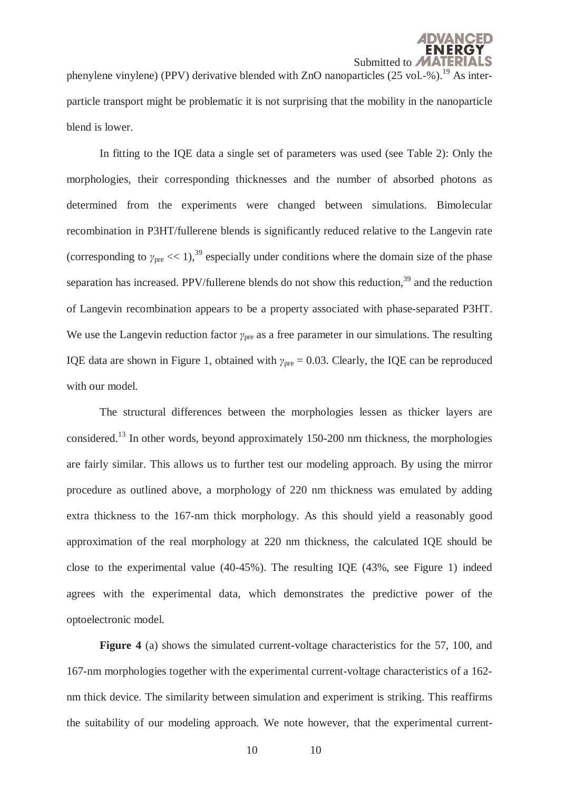phenylene vinylene) (PPV) derivative blended with ZnO nanoparticles  $(25 \text{ vol.} - %).$ <sup>19</sup> As interparticle transport might be problematic it is not surprising that the mobility in the nanoparticle blend is lower.

 In fitting to the IQE data a single set of parameters was used (see Table 2): Only the morphologies, their corresponding thicknesses and the number of absorbed photons as determined from the experiments were changed between simulations. Bimolecular recombination in P3HT/fullerene blends is significantly reduced relative to the Langevin rate (corresponding to  $\gamma_{\text{pre}} \ll 1$ ),<sup>39</sup> especially under conditions where the domain size of the phase separation has increased. PPV/fullerene blends do not show this reduction,  $39$  and the reduction of Langevin recombination appears to be a property associated with phase-separated P3HT. We use the Langevin reduction factor *γ*<sub>pre</sub> as a free parameter in our simulations. The resulting IQE data are shown in Figure 1, obtained with  $γ_{pre} = 0.03$ . Clearly, the IQE can be reproduced with our model.

 The structural differences between the morphologies lessen as thicker layers are considered.13 In other words, beyond approximately 150-200 nm thickness, the morphologies are fairly similar. This allows us to further test our modeling approach. By using the mirror procedure as outlined above, a morphology of 220 nm thickness was emulated by adding extra thickness to the 167-nm thick morphology. As this should yield a reasonably good approximation of the real morphology at 220 nm thickness, the calculated IQE should be close to the experimental value (40-45%). The resulting IQE (43%, see Figure 1) indeed agrees with the experimental data, which demonstrates the predictive power of the optoelectronic model.

**Figure 4** (a) shows the simulated current-voltage characteristics for the 57, 100, and 167-nm morphologies together with the experimental current-voltage characteristics of a 162 nm thick device. The similarity between simulation and experiment is striking. This reaffirms the suitability of our modeling approach. We note however, that the experimental current-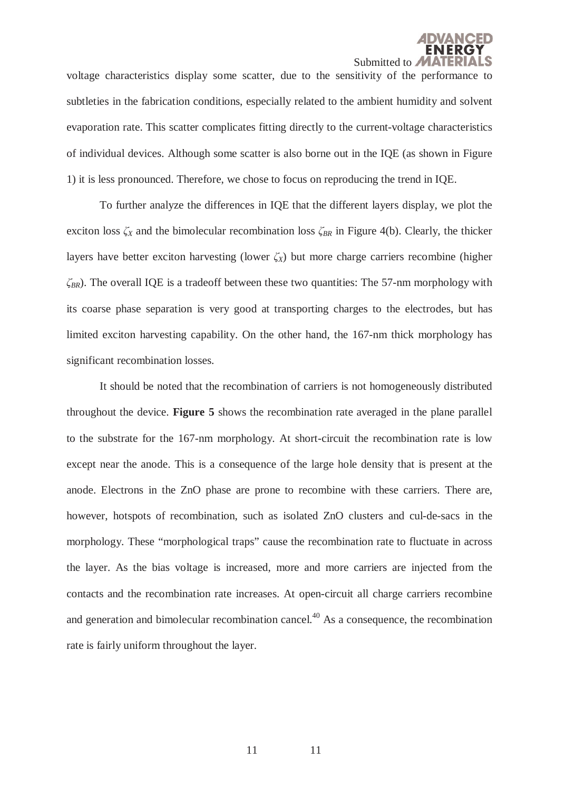

voltage characteristics display some scatter, due to the sensitivity of the performance to subtleties in the fabrication conditions, especially related to the ambient humidity and solvent evaporation rate. This scatter complicates fitting directly to the current-voltage characteristics of individual devices. Although some scatter is also borne out in the IQE (as shown in Figure 1) it is less pronounced. Therefore, we chose to focus on reproducing the trend in IQE.

 To further analyze the differences in IQE that the different layers display, we plot the exciton loss *ζX* and the bimolecular recombination loss *ζBR* in Figure 4(b). Clearly, the thicker layers have better exciton harvesting (lower  $\zeta_X$ ) but more charge carriers recombine (higher *ζBR*). The overall IQE is a tradeoff between these two quantities: The 57-nm morphology with its coarse phase separation is very good at transporting charges to the electrodes, but has limited exciton harvesting capability. On the other hand, the 167-nm thick morphology has significant recombination losses.

 It should be noted that the recombination of carriers is not homogeneously distributed throughout the device. **Figure 5** shows the recombination rate averaged in the plane parallel to the substrate for the 167-nm morphology. At short-circuit the recombination rate is low except near the anode. This is a consequence of the large hole density that is present at the anode. Electrons in the ZnO phase are prone to recombine with these carriers. There are, however, hotspots of recombination, such as isolated ZnO clusters and cul-de-sacs in the morphology. These "morphological traps" cause the recombination rate to fluctuate in across the layer. As the bias voltage is increased, more and more carriers are injected from the contacts and the recombination rate increases. At open-circuit all charge carriers recombine and generation and bimolecular recombination cancel.<sup>40</sup> As a consequence, the recombination rate is fairly uniform throughout the layer.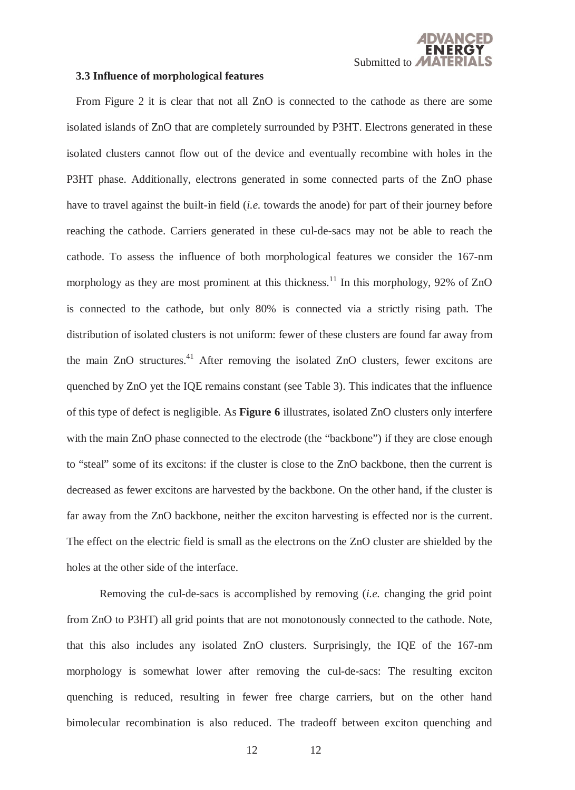#### **3.3 Influence of morphological features**

From Figure 2 it is clear that not all ZnO is connected to the cathode as there are some isolated islands of ZnO that are completely surrounded by P3HT. Electrons generated in these isolated clusters cannot flow out of the device and eventually recombine with holes in the P3HT phase. Additionally, electrons generated in some connected parts of the ZnO phase have to travel against the built-in field (*i.e.* towards the anode) for part of their journey before reaching the cathode. Carriers generated in these cul-de-sacs may not be able to reach the cathode. To assess the influence of both morphological features we consider the 167-nm morphology as they are most prominent at this thickness.<sup>11</sup> In this morphology, 92% of ZnO is connected to the cathode, but only 80% is connected via a strictly rising path. The distribution of isolated clusters is not uniform: fewer of these clusters are found far away from the main ZnO structures.<sup>41</sup> After removing the isolated ZnO clusters, fewer excitons are quenched by ZnO yet the IQE remains constant (see Table 3). This indicates that the influence of this type of defect is negligible. As **Figure 6** illustrates, isolated ZnO clusters only interfere with the main ZnO phase connected to the electrode (the "backbone") if they are close enough to "steal" some of its excitons: if the cluster is close to the ZnO backbone, then the current is decreased as fewer excitons are harvested by the backbone. On the other hand, if the cluster is far away from the ZnO backbone, neither the exciton harvesting is effected nor is the current. The effect on the electric field is small as the electrons on the ZnO cluster are shielded by the holes at the other side of the interface.

 Removing the cul-de-sacs is accomplished by removing (*i.e.* changing the grid point from ZnO to P3HT) all grid points that are not monotonously connected to the cathode. Note, that this also includes any isolated ZnO clusters. Surprisingly, the IQE of the 167-nm morphology is somewhat lower after removing the cul-de-sacs: The resulting exciton quenching is reduced, resulting in fewer free charge carriers, but on the other hand bimolecular recombination is also reduced. The tradeoff between exciton quenching and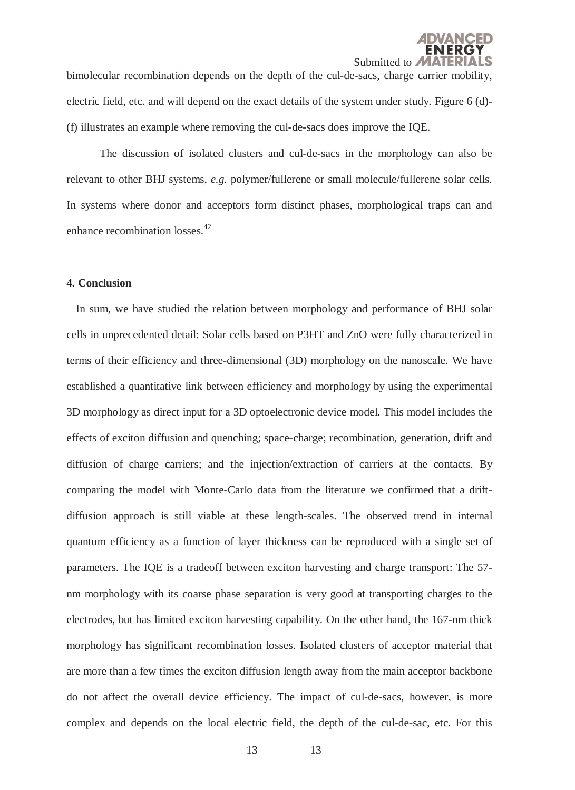bimolecular recombination depends on the depth of the cul-de-sacs, charge carrier mobility, electric field, etc. and will depend on the exact details of the system under study. Figure 6 (d)- (f) illustrates an example where removing the cul-de-sacs does improve the IQE.

 The discussion of isolated clusters and cul-de-sacs in the morphology can also be relevant to other BHJ systems, *e.g.* polymer/fullerene or small molecule/fullerene solar cells. In systems where donor and acceptors form distinct phases, morphological traps can and enhance recombination losses.<sup>42</sup>

# **4. Conclusion**

In sum, we have studied the relation between morphology and performance of BHJ solar cells in unprecedented detail: Solar cells based on P3HT and ZnO were fully characterized in terms of their efficiency and three-dimensional (3D) morphology on the nanoscale. We have established a quantitative link between efficiency and morphology by using the experimental 3D morphology as direct input for a 3D optoelectronic device model. This model includes the effects of exciton diffusion and quenching; space-charge; recombination, generation, drift and diffusion of charge carriers; and the injection/extraction of carriers at the contacts. By comparing the model with Monte-Carlo data from the literature we confirmed that a driftdiffusion approach is still viable at these length-scales. The observed trend in internal quantum efficiency as a function of layer thickness can be reproduced with a single set of parameters. The IQE is a tradeoff between exciton harvesting and charge transport: The 57 nm morphology with its coarse phase separation is very good at transporting charges to the electrodes, but has limited exciton harvesting capability. On the other hand, the 167-nm thick morphology has significant recombination losses. Isolated clusters of acceptor material that are more than a few times the exciton diffusion length away from the main acceptor backbone do not affect the overall device efficiency. The impact of cul-de-sacs, however, is more complex and depends on the local electric field, the depth of the cul-de-sac, etc. For this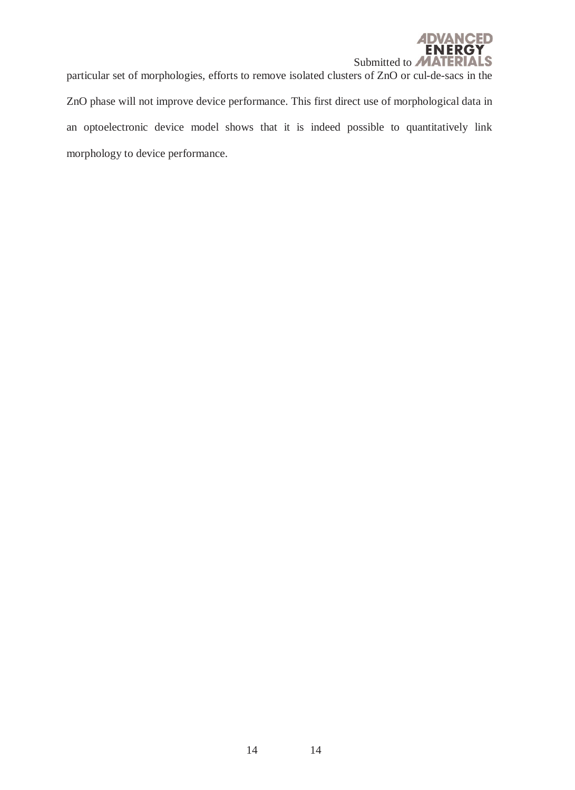

particular set of morphologies, efforts to remove isolated clusters of ZnO or cul-de-sacs in the ZnO phase will not improve device performance. This first direct use of morphological data in an optoelectronic device model shows that it is indeed possible to quantitatively link morphology to device performance.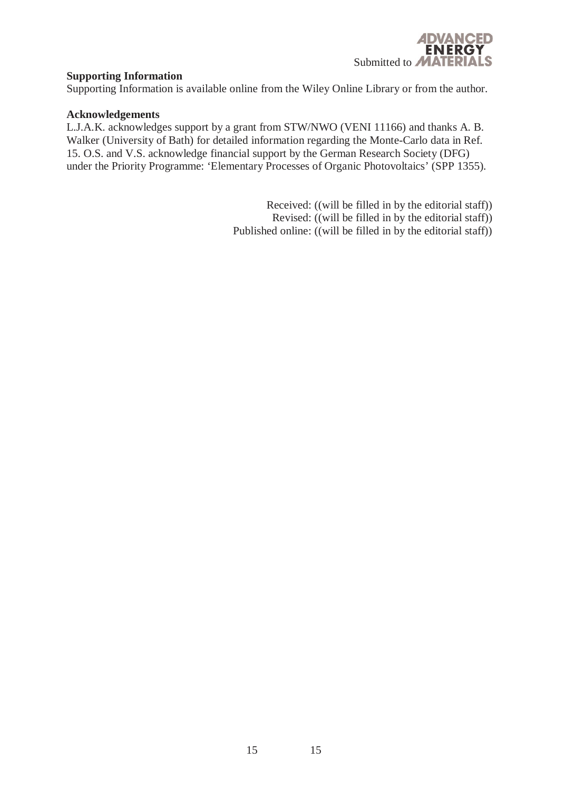

# **Supporting Information**

Supporting Information is available online from the Wiley Online Library or from the author.

#### **Acknowledgements**

L.J.A.K. acknowledges support by a grant from STW/NWO (VENI 11166) and thanks A. B. Walker (University of Bath) for detailed information regarding the Monte-Carlo data in Ref. 15. O.S. and V.S. acknowledge financial support by the German Research Society (DFG) under the Priority Programme: 'Elementary Processes of Organic Photovoltaics' (SPP 1355).

> Received: ((will be filled in by the editorial staff)) Revised: ((will be filled in by the editorial staff)) Published online: ((will be filled in by the editorial staff))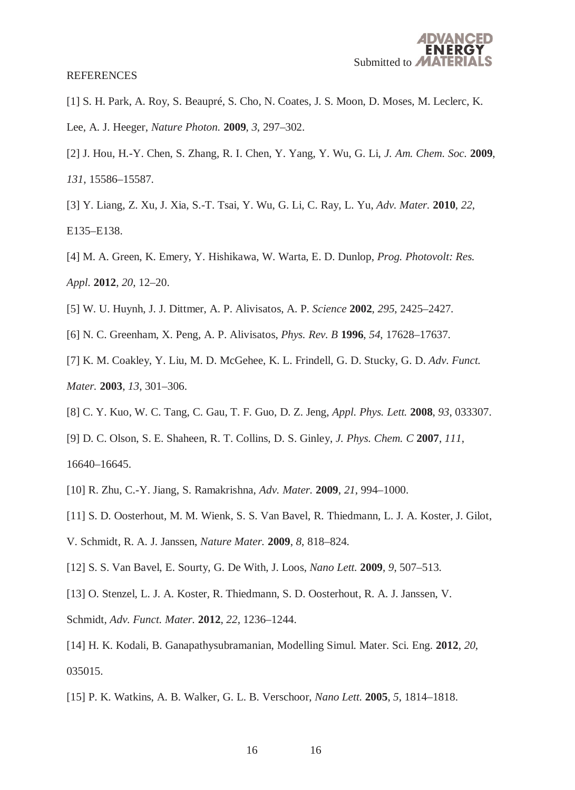#### **REFERENCES**

- [1] S. H. Park, A. Roy, S. Beaupré, S. Cho, N. Coates, J. S. Moon, D. Moses, M. Leclerc, K. Lee, A. J. Heeger, *Nature Photon.* **2009**, *3*, 297–302.
- [2] J. Hou, H.-Y. Chen, S. Zhang, R. I. Chen, Y. Yang, Y. Wu, G. Li, *J. Am. Chem. Soc.* **2009**, *131*, 15586–15587.
- [3] Y. Liang, Z. Xu, J. Xia, S.-T. Tsai, Y. Wu, G. Li, C. Ray, L. Yu, *Adv. Mater.* **2010**, *22*, E135–E138.
- [4] M. A. Green, K. Emery, Y. Hishikawa, W. Warta, E. D. Dunlop, *Prog. Photovolt: Res. Appl.* **2012**, *20*, 12–20.
- [5] W. U. Huynh, J. J. Dittmer, A. P. Alivisatos, A. P. *Science* **2002**, *295*, 2425–2427.
- [6] N. C. Greenham, X. Peng, A. P. Alivisatos, *Phys. Rev. B* **1996**, *54*, 17628–17637.
- [7] K. M. Coakley, Y. Liu, M. D. McGehee, K. L. Frindell, G. D. Stucky, G. D. *Adv. Funct. Mater.* **2003**, *13*, 301–306.
- [8] C. Y. Kuo, W. C. Tang, C. Gau, T. F. Guo, D. Z. Jeng, *Appl. Phys. Lett.* **2008**, *93*, 033307.
- [9] D. C. Olson, S. E. Shaheen, R. T. Collins, D. S. Ginley, *J. Phys. Chem. C* **2007**, *111*, 16640–16645.
- [10] R. Zhu, C.-Y. Jiang, S. Ramakrishna, *Adv. Mater.* **2009**, *21*, 994–1000.
- [11] S. D. Oosterhout, M. M. Wienk, S. S. Van Bavel, R. Thiedmann, L. J. A. Koster, J. Gilot,
- V. Schmidt, R. A. J. Janssen, *Nature Mater.* **2009**, *8*, 818–824.
- [12] S. S. Van Bavel, E. Sourty, G. De With, J. Loos, *Nano Lett.* **2009**, *9*, 507–513.
- [13] O. Stenzel, L. J. A. Koster, R. Thiedmann, S. D. Oosterhout, R. A. J. Janssen, V.
- Schmidt, *Adv. Funct. Mater.* **2012**, *22*, 1236–1244.
- [14] H. K. Kodali, B. Ganapathysubramanian, Modelling Simul. Mater. Sci. Eng. **2012**, *20*, 035015.
- [15] P. K. Watkins, A. B. Walker, G. L. B. Verschoor, *Nano Lett.* **2005**, *5*, 1814–1818.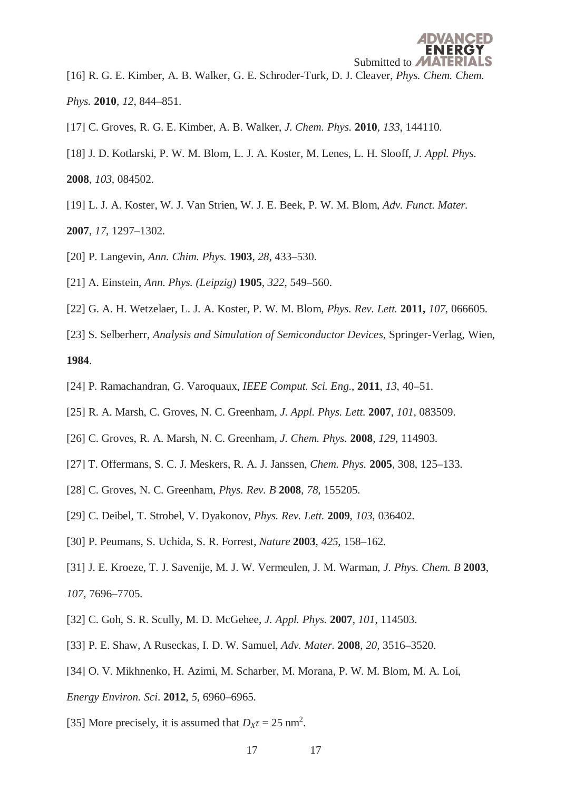[16] R. G. E. Kimber, A. B. Walker, G. E. Schroder-Turk, D. J. Cleaver, *Phys. Chem. Chem. Phys.* **2010**, *12*, 844–851.

- [17] C. Groves, R. G. E. Kimber, A. B. Walker, *J. Chem. Phys.* **2010**, *133*, 144110.
- [18] J. D. Kotlarski, P. W. M. Blom, L. J. A. Koster, M. Lenes, L. H. Slooff, *J. Appl. Phys.* **2008**, *103*, 084502.
- [19] L. J. A. Koster, W. J. Van Strien, W. J. E. Beek, P. W. M. Blom, *Adv. Funct. Mater.* **2007**, *17*, 1297–1302.
- [20] P. Langevin, *Ann. Chim. Phys.* **1903**, *28*, 433–530.
- [21] A. Einstein, *Ann. Phys. (Leipzig)* **1905**, *322*, 549–560.
- [22] G. A. H. Wetzelaer, L. J. A. Koster, P. W. M. Blom, *Phys. Rev. Lett.* **2011,** *107*, 066605.
- [23] S. Selberherr, *Analysis and Simulation of Semiconductor Devices*, Springer-Verlag, Wien,

**1984**.

- [24] P. Ramachandran, G. Varoquaux, *IEEE Comput. Sci. Eng.*, **2011**, *13*, 40–51.
- [25] R. A. Marsh, C. Groves, N. C. Greenham, *J. Appl. Phys. Lett.* **2007**, *101*, 083509.
- [26] C. Groves, R. A. Marsh, N. C. Greenham, *J. Chem. Phys.* **2008**, *129*, 114903.
- [27] T. Offermans, S. C. J. Meskers, R. A. J. Janssen, *Chem. Phys.* **2005**, 308, 125–133.
- [28] C. Groves, N. C. Greenham, *Phys. Rev. B* **2008**, *78*, 155205.
- [29] C. Deibel, T. Strobel, V. Dyakonov, *Phys. Rev. Lett.* **2009**, *103*, 036402.
- [30] P. Peumans, S. Uchida, S. R. Forrest, *Nature* **2003**, *425*, 158–162.
- [31] J. E. Kroeze, T. J. Savenije, M. J. W. Vermeulen, J. M. Warman, *J. Phys. Chem. B* **2003**, *107*, 7696–7705.
- [32] C. Goh, S. R. Scully, M. D. McGehee, *J. Appl. Phys.* **2007**, *101*, 114503.
- [33] P. E. Shaw, A Ruseckas, I. D. W. Samuel, *Adv. Mater.* **2008**, *20*, 3516–3520.
- [34] O. V. Mikhnenko, H. Azimi, M. Scharber, M. Morana, P. W. M. Blom, M. A. Loi,
- *Energy Environ. Sci*. **2012**, *5*, 6960–6965.
- [35] More precisely, it is assumed that  $D_X \tau = 25$  nm<sup>2</sup>.
	- 17 17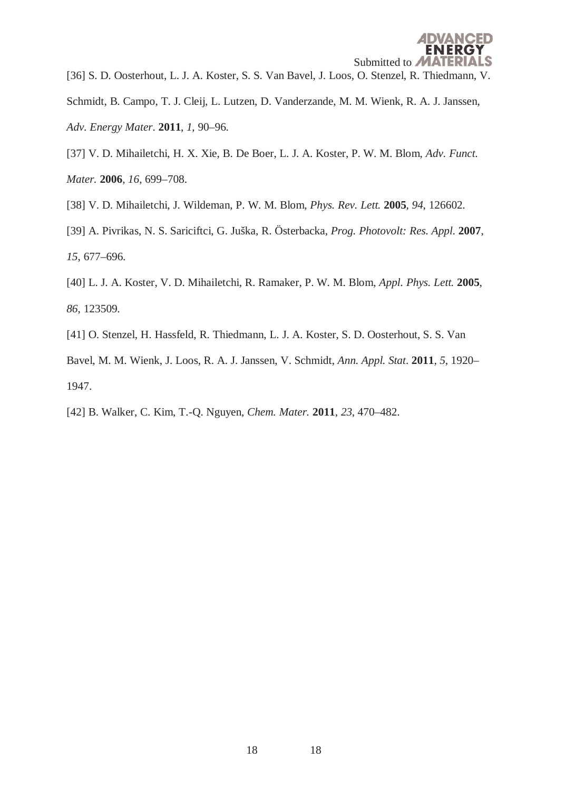[36] S. D. Oosterhout, L. J. A. Koster, S. S. Van Bavel, J. Loos, O. Stenzel, R. Thiedmann, V.

- Schmidt, B. Campo, T. J. Cleij, L. Lutzen, D. Vanderzande, M. M. Wienk, R. A. J. Janssen, *Adv. Energy Mater*. **2011**, *1*, 90–96.
- [37] V. D. Mihailetchi, H. X. Xie, B. De Boer, L. J. A. Koster, P. W. M. Blom, *Adv. Funct. Mater.* **2006**, *16*, 699–708.
- [38] V. D. Mihailetchi, J. Wildeman, P. W. M. Blom, *Phys. Rev. Lett.* **2005**, *94*, 126602.
- [39] A. Pivrikas, N. S. Sariciftci, G. Juška, R. Österbacka, *Prog. Photovolt: Res. Appl.* **2007**, *15*, 677–696.
- [40] L. J. A. Koster, V. D. Mihailetchi, R. Ramaker, P. W. M. Blom, *Appl. Phys. Lett.* **2005**, *86*, 123509.
- [41] O. Stenzel, H. Hassfeld, R. Thiedmann, L. J. A. Koster, S. D. Oosterhout, S. S. Van

Bavel, M. M. Wienk, J. Loos, R. A. J. Janssen, V. Schmidt, *Ann. Appl. Stat*. **2011**, *5*, 1920– 1947.

[42] B. Walker, C. Kim, T.-Q. Nguyen, *Chem. Mater.* **2011**, *23*, 470–482.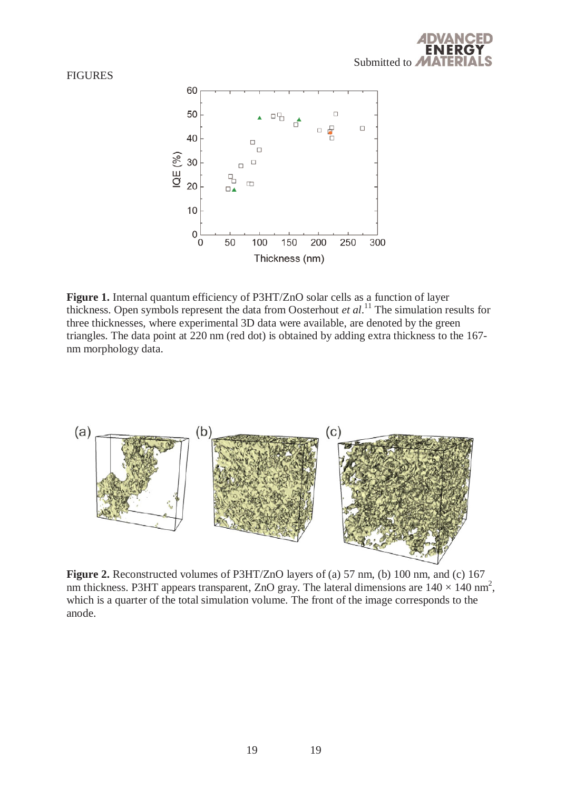#### **FIGURES**



Figure 1. Internal quantum efficiency of P3HT/ZnO solar cells as a function of layer thickness. Open symbols represent the data from Oosterhout *et al*. 11 The simulation results for three thicknesses, where experimental 3D data were available, are denoted by the green triangles. The data point at 220 nm (red dot) is obtained by adding extra thickness to the 167 nm morphology data.



**Figure 2.** Reconstructed volumes of P3HT/ZnO layers of (a) 57 nm, (b) 100 nm, and (c) 167 nm thickness. P3HT appears transparent, ZnO gray. The lateral dimensions are  $140 \times 140$  nm<sup>2</sup>, which is a quarter of the total simulation volume. The front of the image corresponds to the anode.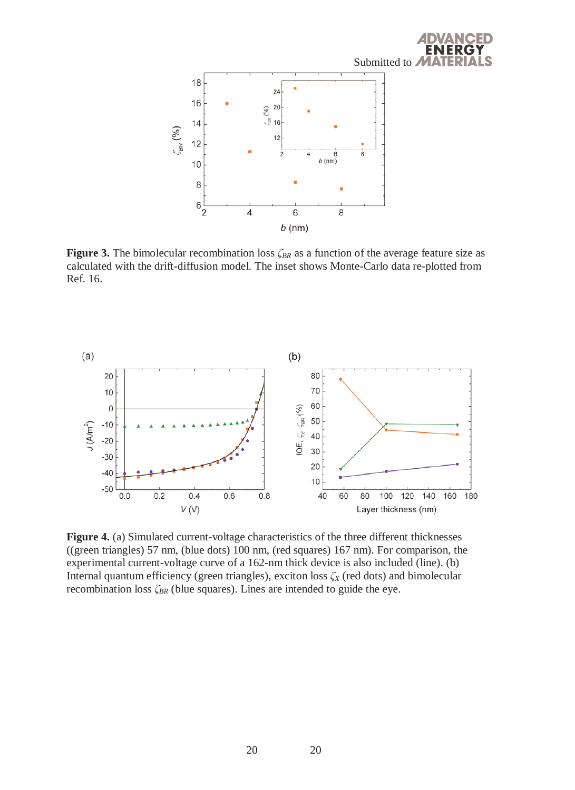

`FD

**Figure 3.** The bimolecular recombination loss *ζBR* as a function of the average feature size as calculated with the drift-diffusion model. The inset shows Monte-Carlo data re-plotted from Ref. 16.



**Figure 4.** (a) Simulated current-voltage characteristics of the three different thicknesses ((green triangles) 57 nm, (blue dots) 100 nm, (red squares) 167 nm). For comparison, the experimental current-voltage curve of a 162-nm thick device is also included (line). (b) Internal quantum efficiency (green triangles), exciton loss *ζX* (red dots) and bimolecular recombination loss *ζBR* (blue squares). Lines are intended to guide the eye.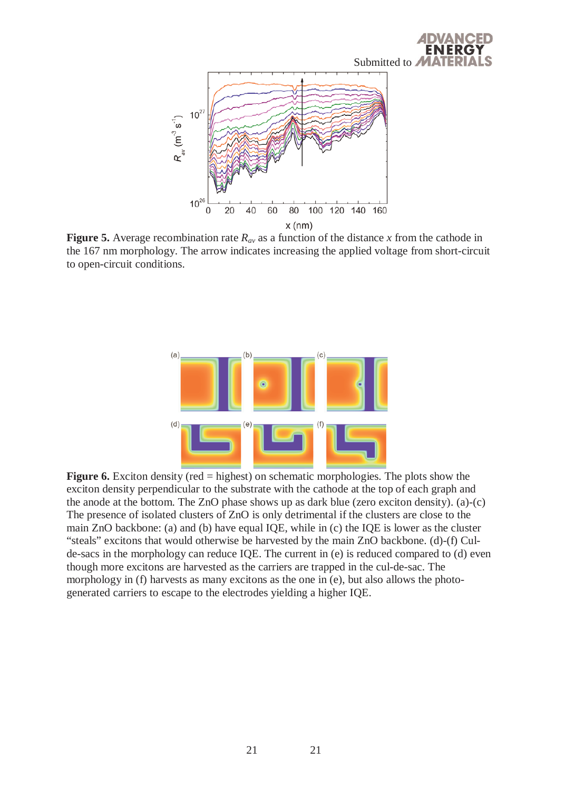

**Figure 5.** Average recombination rate  $R_{av}$  as a function of the distance x from the cathode in the 167 nm morphology. The arrow indicates increasing the applied voltage from short-circuit to open-circuit conditions.



**Figure 6.** Exciton density (red = highest) on schematic morphologies. The plots show the exciton density perpendicular to the substrate with the cathode at the top of each graph and the anode at the bottom. The ZnO phase shows up as dark blue (zero exciton density). (a)-(c) The presence of isolated clusters of ZnO is only detrimental if the clusters are close to the main ZnO backbone: (a) and (b) have equal IQE, while in (c) the IQE is lower as the cluster "steals" excitons that would otherwise be harvested by the main ZnO backbone. (d)-(f) Culde-sacs in the morphology can reduce IQE. The current in (e) is reduced compared to (d) even though more excitons are harvested as the carriers are trapped in the cul-de-sac. The morphology in (f) harvests as many excitons as the one in (e), but also allows the photogenerated carriers to escape to the electrodes yielding a higher IQE.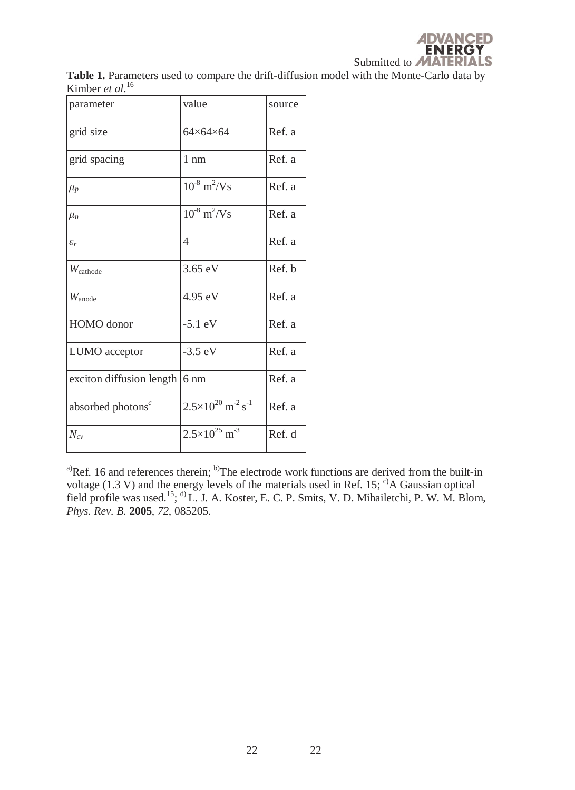**Table 1.** Parameters used to compare the drift-diffusion model with the Monte-Carlo data by Kimber *et al*. 16

| parameter                             | value                                              | source |
|---------------------------------------|----------------------------------------------------|--------|
| grid size                             | $64\times64\times64$                               | Ref. a |
| grid spacing                          | $1 \text{ nm}$                                     | Ref. a |
| $\mu_p$                               | $10^{-8}$ m <sup>2</sup> /Vs                       | Ref. a |
| $\mu_n$                               | $10^{-8}$ m <sup>2</sup> /Vs                       | Ref. a |
| $\varepsilon_r$                       | 4                                                  | Ref. a |
| $W_{\text{cathode}}$                  | $3.65 \text{ eV}$                                  | Ref. b |
| $W_{\text{anode}}$                    | 4.95 eV                                            | Ref. a |
| HOMO donor                            | $-5.1$ eV                                          | Ref. a |
| LUMO acceptor                         | $-3.5$ eV                                          | Ref. a |
| exciton diffusion length $\vert$ 6 nm |                                                    | Ref. a |
| absorbed photons <sup>c</sup>         | $2.5\times10^{20}$ m <sup>-2</sup> s <sup>-1</sup> | Ref. a |
| $N_{cv}$                              | $2.5 \times 10^{25}$ m <sup>-3</sup>               | Ref. d |

<sup>a)</sup>Ref. 16 and references therein; <sup>b)</sup>The electrode work functions are derived from the built-in voltage (1.3 V) and the energy levels of the materials used in Ref. 15;  $\mathrm{c}^{\circ}$ A Gaussian optical field profile was used.<sup>15</sup>; <sup>d)</sup> L. J. A. Koster, E. C. P. Smits, V. D. Mihailetchi, P. W. M. Blom, *Phys. Rev. B.* **2005**, *72*, 085205.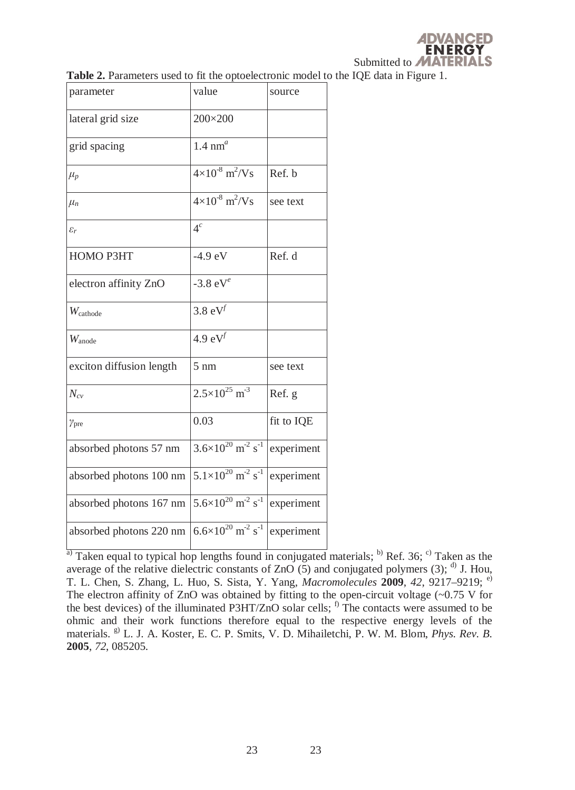|  |  |  | Table 2. Parameters used to fit the optoelectronic model to the IQE data in Figure 1. |
|--|--|--|---------------------------------------------------------------------------------------|
|  |  |  |                                                                                       |

| parameter                | value                                              | source     |
|--------------------------|----------------------------------------------------|------------|
| lateral grid size        | 200×200                                            |            |
| grid spacing             | $1.4 \text{ nm}^a$                                 |            |
| $\mu_p$                  | $4\times10^{-8}$ m <sup>2</sup> /Vs                | Ref. b     |
| $\mu_n$                  | $4 \times 10^{-8}$ m <sup>2</sup> /Vs              | see text   |
| $\varepsilon_r$          | 4 <sup>c</sup>                                     |            |
| HOMO P3HT                | $-4.9$ eV                                          | Ref. d     |
| electron affinity ZnO    | -3.8 $eV^e$                                        |            |
| $W_{\text{cathode}}$     | 3.8 $eV^f$                                         |            |
| $W_{\text{anode}}$       | 4.9 $eV^f$                                         |            |
| exciton diffusion length | $5 \text{ nm}$                                     | see text   |
| $N_{cv}$                 | $2.5 \times 10^{25}$ m <sup>-3</sup>               | Ref. g     |
| $\gamma_{\rm pre}$       | 0.03                                               | fit to IQE |
| absorbed photons 57 nm   | $3.6\times10^{20}$ m <sup>-2</sup> s <sup>-1</sup> | experiment |
| absorbed photons 100 nm  | $5.1\times10^{20}$ m <sup>-2</sup> s <sup>-1</sup> | experiment |
| absorbed photons 167 nm  | $5.6\times10^{20}$ m <sup>-2</sup> s <sup>-1</sup> | experiment |
| absorbed photons 220 nm  | $6.6\times10^{20}$ m <sup>-2</sup> s <sup>-1</sup> | experiment |

 $\frac{1}{a}$  Taken equal to typical hop lengths found in conjugated materials; b) Ref. 36; c) Taken as the average of the relative dielectric constants of  $ZnO(5)$  and conjugated polymers (3); <sup>d)</sup> J. Hou, T. L. Chen, S. Zhang, L. Huo, S. Sista, Y. Yang, *Macromolecules* **2009**, *42*, 9217–9219; e) The electron affinity of ZnO was obtained by fitting to the open-circuit voltage  $(-0.75 \text{ V}$  for the best devices) of the illuminated P3HT/ZnO solar cells;  $<sup>f</sup>$  The contacts were assumed to be</sup> ohmic and their work functions therefore equal to the respective energy levels of the materials. g) L. J. A. Koster, E. C. P. Smits, V. D. Mihailetchi, P. W. M. Blom, *Phys. Rev. B.* **2005**, *72*, 085205.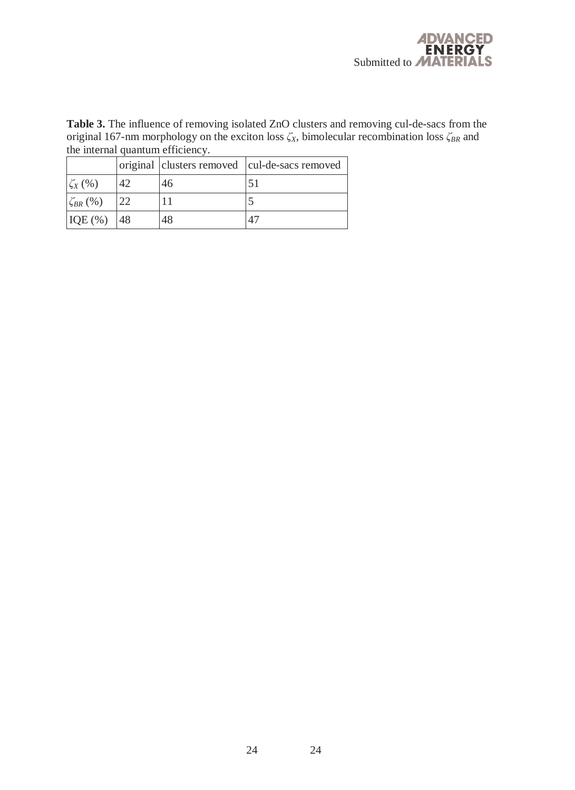Table 3. The influence of removing isolated ZnO clusters and removing cul-de-sacs from the original 167-nm morphology on the exciton loss *ζX*, bimolecular recombination loss *ζBR* and the internal quantum efficiency.

|                  |    |    | original clusters removed cul-de-sacs removed |
|------------------|----|----|-----------------------------------------------|
| $\zeta_X$ (%)    |    | 46 |                                               |
| $\zeta_{BR}$ (%) |    |    |                                               |
| $IQE$ $%$        | 48 | 48 |                                               |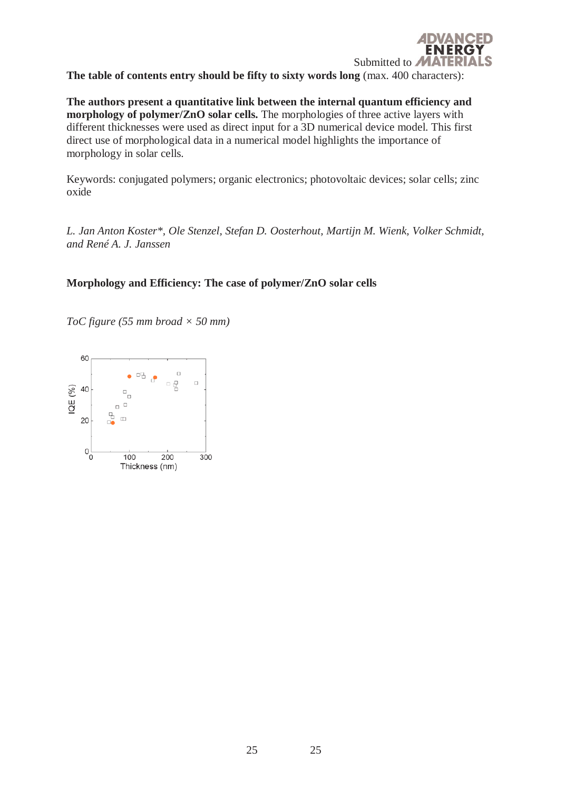

**The authors present a quantitative link between the internal quantum efficiency and morphology of polymer/ZnO solar cells.** The morphologies of three active layers with different thicknesses were used as direct input for a 3D numerical device model. This first direct use of morphological data in a numerical model highlights the importance of morphology in solar cells.

Keywords: conjugated polymers; organic electronics; photovoltaic devices; solar cells; zinc oxide

*L. Jan Anton Koster\*, Ole Stenzel, Stefan D. Oosterhout, Martijn M. Wienk, Volker Schmidt, and René A. J. Janssen* 

# **Morphology and Efficiency: The case of polymer/ZnO solar cells**

*ToC figure (55 mm broad × 50 mm)*